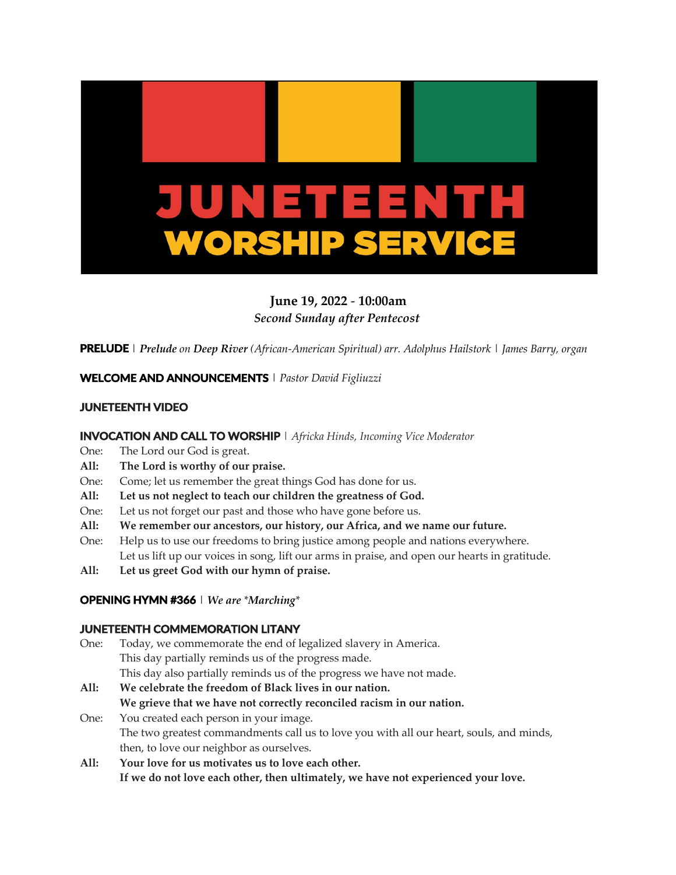

# **June 19, 2022** - **10:00am** *Second Sunday after Pentecost*

**PRELUDE** | *Prelude on Deep River (African-American Spiritual) arr. Adolphus Hailstork* | *James Barry, organ*

**WELCOME AND ANNOUNCEMENTS**| *Pastor David Figliuzzi*

## **JUNETEENTH VIDEO**

#### **INVOCATION AND CALL TO WORSHIP** | *Africka Hinds, Incoming Vice Moderator*

- One: The Lord our God is great.
- **All: The Lord is worthy of our praise.**
- One: Come; let us remember the great things God has done for us.
- **All: Let us not neglect to teach our children the greatness of God.**
- One: Let us not forget our past and those who have gone before us.
- **All: We remember our ancestors, our history, our Africa, and we name our future.**
- One: Help us to use our freedoms to bring justice among people and nations everywhere. Let us lift up our voices in song, lift our arms in praise, and open our hearts in gratitude.
- **All: Let us greet God with our hymn of praise.**

## **OPENING HYMN #366**| *We are \*Marching\**

### **JUNETEENTH COMMEMORATION LITANY**

| One: | Today, we commemorate the end of legalized slavery in America.                          |
|------|-----------------------------------------------------------------------------------------|
|      | This day partially reminds us of the progress made.                                     |
|      | This day also partially reminds us of the progress we have not made.                    |
| All: | We celebrate the freedom of Black lives in our nation.                                  |
|      | We grieve that we have not correctly reconciled racism in our nation.                   |
| One: | You created each person in your image.                                                  |
|      | The two greatest commandments call us to love you with all our heart, souls, and minds, |
|      | then, to love our neighbor as ourselves.                                                |
|      |                                                                                         |

**All: Your love for us motivates us to love each other. If we do not love each other, then ultimately, we have not experienced your love.**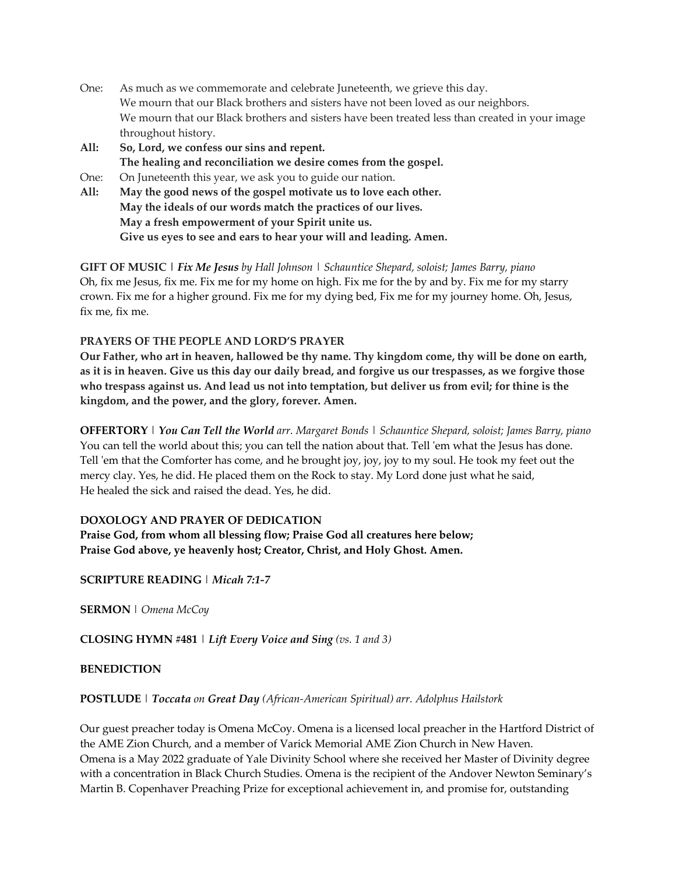- One: As much as we commemorate and celebrate Juneteenth, we grieve this day. We mourn that our Black brothers and sisters have not been loved as our neighbors. We mourn that our Black brothers and sisters have been treated less than created in your image throughout history.
- **All: So, Lord, we confess our sins and repent. The healing and reconciliation we desire comes from the gospel.**
- One: On Juneteenth this year, we ask you to guide our nation.
- **All: May the good news of the gospel motivate us to love each other. May the ideals of our words match the practices of our lives. May a fresh empowerment of your Spirit unite us. Give us eyes to see and ears to hear your will and leading. Amen.**

**GIFT OF MUSIC |** *Fix Me Jesus by Hall Johnson* | *Schauntice Shepard, soloist; James Barry, piano* Oh, fix me Jesus, fix me. Fix me for my home on high. Fix me for the by and by. Fix me for my starry crown. Fix me for a higher ground. Fix me for my dying bed, Fix me for my journey home. Oh, Jesus, fix me, fix me.

## **PRAYERS OF THE PEOPLE AND LORD'S PRAYER**

**Our Father, who art in heaven, hallowed be thy name. Thy kingdom come, thy will be done on earth, as it is in heaven. Give us this day our daily bread, and forgive us our trespasses, as we forgive those who trespass against us. And lead us not into temptation, but deliver us from evil; for thine is the kingdom, and the power, and the glory, forever. Amen.**

**OFFERTORY** | *You Can Tell the World arr. Margaret Bonds* | *Schauntice Shepard, soloist; James Barry, piano* You can tell the world about this; you can tell the nation about that. Tell 'em what the Jesus has done. Tell 'em that the Comforter has come, and he brought joy, joy, joy to my soul. He took my feet out the mercy clay. Yes, he did. He placed them on the Rock to stay. My Lord done just what he said, He healed the sick and raised the dead. Yes, he did.

## **DOXOLOGY AND PRAYER OF DEDICATION**

**Praise God, from whom all blessing flow; Praise God all creatures here below; Praise God above, ye heavenly host; Creator, Christ, and Holy Ghost. Amen.**

**SCRIPTURE READING** | *Micah 7:1-7*

**SERMON** | *Omena McCoy*

**CLOSING HYMN #481** | *Lift Every Voice and Sing (vs. 1 and 3)*

### **BENEDICTION**

### **POSTLUDE** | *Toccata on Great Day (African-American Spiritual) arr. Adolphus Hailstork*

Our guest preacher today is Omena McCoy. Omena is a licensed local preacher in the Hartford District of the AME Zion Church, and a member of Varick Memorial AME Zion Church in New Haven. Omena is a May 2022 graduate of Yale Divinity School where she received her Master of Divinity degree with a concentration in Black Church Studies. Omena is the recipient of the Andover Newton Seminary's Martin B. Copenhaver Preaching Prize for exceptional achievement in, and promise for, outstanding